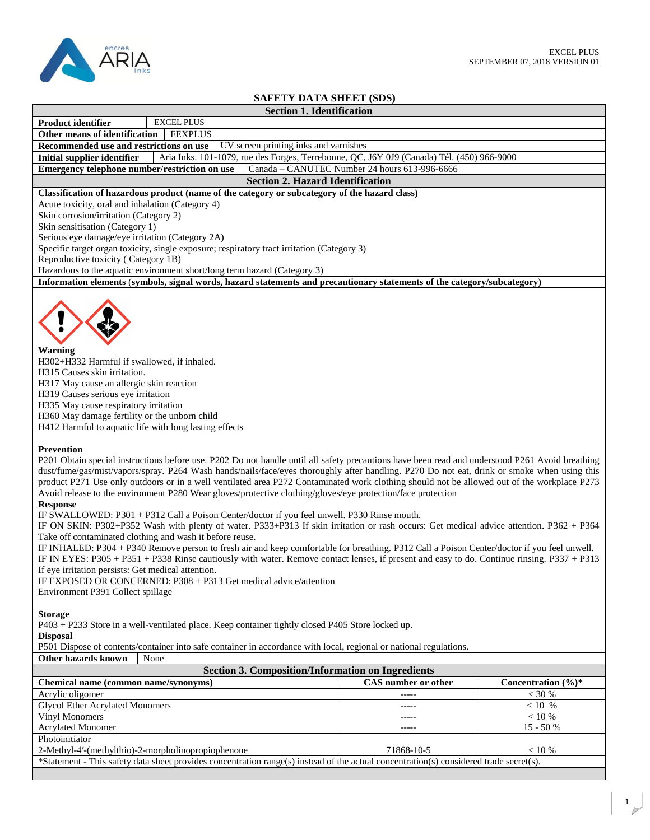

## **SAFETY DATA SHEET (SDS)**

| ритетт рити рисет (ррб                                                                                                                                                                                                                                                                                                                                                                                                                                                                                                                                                                                                                                                                                                                                                                                                                                                                                                                                                                                                                                                                                                                                                                                                                                                                                                                                                                                                                                                                                                                                                                                                                                                                                                                                                                                                                                                                                                                                            |                                               |                                 |  |  |
|-------------------------------------------------------------------------------------------------------------------------------------------------------------------------------------------------------------------------------------------------------------------------------------------------------------------------------------------------------------------------------------------------------------------------------------------------------------------------------------------------------------------------------------------------------------------------------------------------------------------------------------------------------------------------------------------------------------------------------------------------------------------------------------------------------------------------------------------------------------------------------------------------------------------------------------------------------------------------------------------------------------------------------------------------------------------------------------------------------------------------------------------------------------------------------------------------------------------------------------------------------------------------------------------------------------------------------------------------------------------------------------------------------------------------------------------------------------------------------------------------------------------------------------------------------------------------------------------------------------------------------------------------------------------------------------------------------------------------------------------------------------------------------------------------------------------------------------------------------------------------------------------------------------------------------------------------------------------|-----------------------------------------------|---------------------------------|--|--|
| <b>Section 1. Identification</b>                                                                                                                                                                                                                                                                                                                                                                                                                                                                                                                                                                                                                                                                                                                                                                                                                                                                                                                                                                                                                                                                                                                                                                                                                                                                                                                                                                                                                                                                                                                                                                                                                                                                                                                                                                                                                                                                                                                                  |                                               |                                 |  |  |
| <b>EXCEL PLUS</b><br>Product identifier                                                                                                                                                                                                                                                                                                                                                                                                                                                                                                                                                                                                                                                                                                                                                                                                                                                                                                                                                                                                                                                                                                                                                                                                                                                                                                                                                                                                                                                                                                                                                                                                                                                                                                                                                                                                                                                                                                                           |                                               |                                 |  |  |
| Other means of identification<br><b>FEXPLUS</b>                                                                                                                                                                                                                                                                                                                                                                                                                                                                                                                                                                                                                                                                                                                                                                                                                                                                                                                                                                                                                                                                                                                                                                                                                                                                                                                                                                                                                                                                                                                                                                                                                                                                                                                                                                                                                                                                                                                   |                                               |                                 |  |  |
| Recommended use and restrictions on use<br>UV screen printing inks and varnishes                                                                                                                                                                                                                                                                                                                                                                                                                                                                                                                                                                                                                                                                                                                                                                                                                                                                                                                                                                                                                                                                                                                                                                                                                                                                                                                                                                                                                                                                                                                                                                                                                                                                                                                                                                                                                                                                                  |                                               |                                 |  |  |
| <b>Initial supplier identifier</b><br>Aria Inks. 101-1079, rue des Forges, Terrebonne, QC, J6Y 0J9 (Canada) Tél. (450) 966-9000                                                                                                                                                                                                                                                                                                                                                                                                                                                                                                                                                                                                                                                                                                                                                                                                                                                                                                                                                                                                                                                                                                                                                                                                                                                                                                                                                                                                                                                                                                                                                                                                                                                                                                                                                                                                                                   |                                               |                                 |  |  |
| Emergency telephone number/restriction on use                                                                                                                                                                                                                                                                                                                                                                                                                                                                                                                                                                                                                                                                                                                                                                                                                                                                                                                                                                                                                                                                                                                                                                                                                                                                                                                                                                                                                                                                                                                                                                                                                                                                                                                                                                                                                                                                                                                     | Canada - CANUTEC Number 24 hours 613-996-6666 |                                 |  |  |
| <b>Section 2. Hazard Identification</b>                                                                                                                                                                                                                                                                                                                                                                                                                                                                                                                                                                                                                                                                                                                                                                                                                                                                                                                                                                                                                                                                                                                                                                                                                                                                                                                                                                                                                                                                                                                                                                                                                                                                                                                                                                                                                                                                                                                           |                                               |                                 |  |  |
| Classification of hazardous product (name of the category or subcategory of the hazard class)                                                                                                                                                                                                                                                                                                                                                                                                                                                                                                                                                                                                                                                                                                                                                                                                                                                                                                                                                                                                                                                                                                                                                                                                                                                                                                                                                                                                                                                                                                                                                                                                                                                                                                                                                                                                                                                                     |                                               |                                 |  |  |
| Acute toxicity, oral and inhalation (Category 4)                                                                                                                                                                                                                                                                                                                                                                                                                                                                                                                                                                                                                                                                                                                                                                                                                                                                                                                                                                                                                                                                                                                                                                                                                                                                                                                                                                                                                                                                                                                                                                                                                                                                                                                                                                                                                                                                                                                  |                                               |                                 |  |  |
| Skin corrosion/irritation (Category 2)                                                                                                                                                                                                                                                                                                                                                                                                                                                                                                                                                                                                                                                                                                                                                                                                                                                                                                                                                                                                                                                                                                                                                                                                                                                                                                                                                                                                                                                                                                                                                                                                                                                                                                                                                                                                                                                                                                                            |                                               |                                 |  |  |
| Skin sensitisation (Category 1)                                                                                                                                                                                                                                                                                                                                                                                                                                                                                                                                                                                                                                                                                                                                                                                                                                                                                                                                                                                                                                                                                                                                                                                                                                                                                                                                                                                                                                                                                                                                                                                                                                                                                                                                                                                                                                                                                                                                   |                                               |                                 |  |  |
|                                                                                                                                                                                                                                                                                                                                                                                                                                                                                                                                                                                                                                                                                                                                                                                                                                                                                                                                                                                                                                                                                                                                                                                                                                                                                                                                                                                                                                                                                                                                                                                                                                                                                                                                                                                                                                                                                                                                                                   |                                               |                                 |  |  |
| Serious eye damage/eye irritation (Category 2A)                                                                                                                                                                                                                                                                                                                                                                                                                                                                                                                                                                                                                                                                                                                                                                                                                                                                                                                                                                                                                                                                                                                                                                                                                                                                                                                                                                                                                                                                                                                                                                                                                                                                                                                                                                                                                                                                                                                   |                                               |                                 |  |  |
| Specific target organ toxicity, single exposure; respiratory tract irritation (Category 3)                                                                                                                                                                                                                                                                                                                                                                                                                                                                                                                                                                                                                                                                                                                                                                                                                                                                                                                                                                                                                                                                                                                                                                                                                                                                                                                                                                                                                                                                                                                                                                                                                                                                                                                                                                                                                                                                        |                                               |                                 |  |  |
| Reproductive toxicity (Category 1B)                                                                                                                                                                                                                                                                                                                                                                                                                                                                                                                                                                                                                                                                                                                                                                                                                                                                                                                                                                                                                                                                                                                                                                                                                                                                                                                                                                                                                                                                                                                                                                                                                                                                                                                                                                                                                                                                                                                               |                                               |                                 |  |  |
| Hazardous to the aquatic environment short/long term hazard (Category 3)                                                                                                                                                                                                                                                                                                                                                                                                                                                                                                                                                                                                                                                                                                                                                                                                                                                                                                                                                                                                                                                                                                                                                                                                                                                                                                                                                                                                                                                                                                                                                                                                                                                                                                                                                                                                                                                                                          |                                               |                                 |  |  |
| Information elements (symbols, signal words, hazard statements and precautionary statements of the category/subcategory)                                                                                                                                                                                                                                                                                                                                                                                                                                                                                                                                                                                                                                                                                                                                                                                                                                                                                                                                                                                                                                                                                                                                                                                                                                                                                                                                                                                                                                                                                                                                                                                                                                                                                                                                                                                                                                          |                                               |                                 |  |  |
| Warning<br>H302+H332 Harmful if swallowed, if inhaled.<br>H315 Causes skin irritation.<br>H317 May cause an allergic skin reaction<br>H319 Causes serious eye irritation<br>H335 May cause respiratory irritation<br>H360 May damage fertility or the unborn child<br>H412 Harmful to aquatic life with long lasting effects<br>Prevention<br>P201 Obtain special instructions before use. P202 Do not handle until all safety precautions have been read and understood P261 Avoid breathing<br>dust/fume/gas/mist/vapors/spray. P264 Wash hands/nails/face/eyes thoroughly after handling. P270 Do not eat, drink or smoke when using this<br>product P271 Use only outdoors or in a well ventilated area P272 Contaminated work clothing should not be allowed out of the workplace P273<br>Avoid release to the environment P280 Wear gloves/protective clothing/gloves/eye protection/face protection<br><b>Response</b><br>IF SWALLOWED: P301 + P312 Call a Poison Center/doctor if you feel unwell. P330 Rinse mouth.<br>IF ON SKIN: P302+P352 Wash with plenty of water. P333+P313 If skin irritation or rash occurs: Get medical advice attention. P362 + P364<br>Take off contaminated clothing and wash it before reuse.<br>IF INHALED: P304 + P340 Remove person to fresh air and keep comfortable for breathing. P312 Call a Poison Center/doctor if you feel unwell.<br>IF IN EYES: P305 + P351 + P338 Rinse cautiously with water. Remove contact lenses, if present and easy to do. Continue rinsing. P337 + P313<br>If eye irritation persists: Get medical attention.<br>IF EXPOSED OR CONCERNED: P308 + P313 Get medical advice/attention<br>Environment P391 Collect spillage<br><b>Storage</b><br>P403 + P233 Store in a well-ventilated place. Keep container tightly closed P405 Store locked up.<br><b>Disposal</b><br>P501 Dispose of contents/container into safe container in accordance with local, regional or national regulations. |                                               |                                 |  |  |
| Other hazards known<br>None<br><b>Section 3. Composition/Information on Ingredients</b>                                                                                                                                                                                                                                                                                                                                                                                                                                                                                                                                                                                                                                                                                                                                                                                                                                                                                                                                                                                                                                                                                                                                                                                                                                                                                                                                                                                                                                                                                                                                                                                                                                                                                                                                                                                                                                                                           |                                               |                                 |  |  |
|                                                                                                                                                                                                                                                                                                                                                                                                                                                                                                                                                                                                                                                                                                                                                                                                                                                                                                                                                                                                                                                                                                                                                                                                                                                                                                                                                                                                                                                                                                                                                                                                                                                                                                                                                                                                                                                                                                                                                                   |                                               |                                 |  |  |
| Chemical name (common name/synonyms)                                                                                                                                                                                                                                                                                                                                                                                                                                                                                                                                                                                                                                                                                                                                                                                                                                                                                                                                                                                                                                                                                                                                                                                                                                                                                                                                                                                                                                                                                                                                                                                                                                                                                                                                                                                                                                                                                                                              | CAS number or other                           | Concentration $(\frac{6}{6})^*$ |  |  |
| Acrylic oligomer                                                                                                                                                                                                                                                                                                                                                                                                                                                                                                                                                                                                                                                                                                                                                                                                                                                                                                                                                                                                                                                                                                                                                                                                                                                                                                                                                                                                                                                                                                                                                                                                                                                                                                                                                                                                                                                                                                                                                  | -----                                         | < 30 %                          |  |  |
| <b>Glycol Ether Acrylated Monomers</b>                                                                                                                                                                                                                                                                                                                                                                                                                                                                                                                                                                                                                                                                                                                                                                                                                                                                                                                                                                                                                                                                                                                                                                                                                                                                                                                                                                                                                                                                                                                                                                                                                                                                                                                                                                                                                                                                                                                            | -----                                         | $< 10$ %                        |  |  |
| Vinyl Monomers<br>< 10 %<br>-----                                                                                                                                                                                                                                                                                                                                                                                                                                                                                                                                                                                                                                                                                                                                                                                                                                                                                                                                                                                                                                                                                                                                                                                                                                                                                                                                                                                                                                                                                                                                                                                                                                                                                                                                                                                                                                                                                                                                 |                                               |                                 |  |  |
| <b>Acrylated Monomer</b>                                                                                                                                                                                                                                                                                                                                                                                                                                                                                                                                                                                                                                                                                                                                                                                                                                                                                                                                                                                                                                                                                                                                                                                                                                                                                                                                                                                                                                                                                                                                                                                                                                                                                                                                                                                                                                                                                                                                          | -----                                         | 15 - 50 %                       |  |  |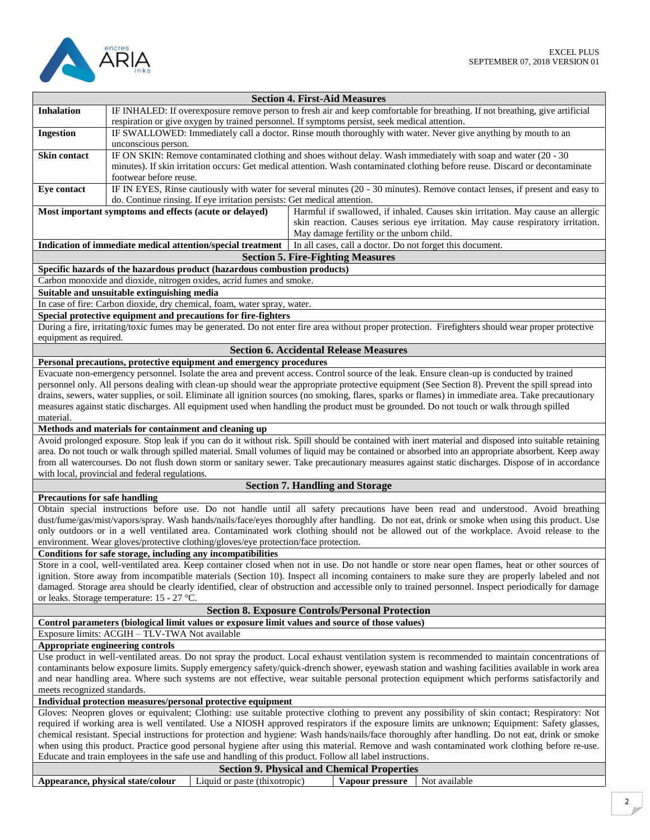

| <b>Section 4. First-Aid Measures</b>                                                                                                             |                                                                                                                                                                                                                                                                                                  |                                                                                                                                                       |  |
|--------------------------------------------------------------------------------------------------------------------------------------------------|--------------------------------------------------------------------------------------------------------------------------------------------------------------------------------------------------------------------------------------------------------------------------------------------------|-------------------------------------------------------------------------------------------------------------------------------------------------------|--|
| <b>Inhalation</b>                                                                                                                                |                                                                                                                                                                                                                                                                                                  | IF INHALED: If overexposure remove person to fresh air and keep comfortable for breathing. If not breathing, give artificial                          |  |
|                                                                                                                                                  |                                                                                                                                                                                                                                                                                                  | respiration or give oxygen by trained personnel. If symptoms persist, seek medical attention.                                                         |  |
| <b>Ingestion</b>                                                                                                                                 |                                                                                                                                                                                                                                                                                                  | IF SWALLOWED: Immediately call a doctor. Rinse mouth thoroughly with water. Never give anything by mouth to an                                        |  |
|                                                                                                                                                  | unconscious person.                                                                                                                                                                                                                                                                              |                                                                                                                                                       |  |
| <b>Skin contact</b>                                                                                                                              |                                                                                                                                                                                                                                                                                                  | IF ON SKIN: Remove contaminated clothing and shoes without delay. Wash immediately with soap and water (20 - 30                                       |  |
|                                                                                                                                                  |                                                                                                                                                                                                                                                                                                  | minutes). If skin irritation occurs: Get medical attention. Wash contaminated clothing before reuse. Discard or decontaminate                         |  |
|                                                                                                                                                  | footwear before reuse.                                                                                                                                                                                                                                                                           |                                                                                                                                                       |  |
| Eye contact                                                                                                                                      |                                                                                                                                                                                                                                                                                                  | IF IN EYES, Rinse cautiously with water for several minutes (20 - 30 minutes). Remove contact lenses, if present and easy to                          |  |
|                                                                                                                                                  | do. Continue rinsing. If eye irritation persists: Get medical attention.                                                                                                                                                                                                                         |                                                                                                                                                       |  |
|                                                                                                                                                  | Most important symptoms and effects (acute or delayed)                                                                                                                                                                                                                                           | Harmful if swallowed, if inhaled. Causes skin irritation. May cause an allergic                                                                       |  |
|                                                                                                                                                  |                                                                                                                                                                                                                                                                                                  | skin reaction. Causes serious eye irritation. May cause respiratory irritation.                                                                       |  |
|                                                                                                                                                  |                                                                                                                                                                                                                                                                                                  | May damage fertility or the unborn child.                                                                                                             |  |
|                                                                                                                                                  | Indication of immediate medical attention/special treatment                                                                                                                                                                                                                                      | In all cases, call a doctor. Do not forget this document.                                                                                             |  |
|                                                                                                                                                  |                                                                                                                                                                                                                                                                                                  | <b>Section 5. Fire-Fighting Measures</b>                                                                                                              |  |
|                                                                                                                                                  | Specific hazards of the hazardous product (hazardous combustion products)                                                                                                                                                                                                                        |                                                                                                                                                       |  |
|                                                                                                                                                  | Carbon monoxide and dioxide, nitrogen oxides, acrid fumes and smoke.                                                                                                                                                                                                                             |                                                                                                                                                       |  |
|                                                                                                                                                  | Suitable and unsuitable extinguishing media                                                                                                                                                                                                                                                      |                                                                                                                                                       |  |
|                                                                                                                                                  | In case of fire: Carbon dioxide, dry chemical, foam, water spray, water.                                                                                                                                                                                                                         |                                                                                                                                                       |  |
|                                                                                                                                                  | Special protective equipment and precautions for fire-fighters                                                                                                                                                                                                                                   |                                                                                                                                                       |  |
|                                                                                                                                                  |                                                                                                                                                                                                                                                                                                  | During a fire, irritating/toxic fumes may be generated. Do not enter fire area without proper protection. Firefighters should wear proper protective  |  |
| equipment as required.                                                                                                                           |                                                                                                                                                                                                                                                                                                  |                                                                                                                                                       |  |
|                                                                                                                                                  |                                                                                                                                                                                                                                                                                                  | <b>Section 6. Accidental Release Measures</b>                                                                                                         |  |
|                                                                                                                                                  | Personal precautions, protective equipment and emergency procedures                                                                                                                                                                                                                              |                                                                                                                                                       |  |
|                                                                                                                                                  |                                                                                                                                                                                                                                                                                                  | Evacuate non-emergency personnel. Isolate the area and prevent access. Control source of the leak. Ensure clean-up is conducted by trained            |  |
|                                                                                                                                                  |                                                                                                                                                                                                                                                                                                  | personnel only. All persons dealing with clean-up should wear the appropriate protective equipment (See Section 8). Prevent the spill spread into     |  |
|                                                                                                                                                  |                                                                                                                                                                                                                                                                                                  | drains, sewers, water supplies, or soil. Eliminate all ignition sources (no smoking, flares, sparks or flames) in immediate area. Take precautionary  |  |
|                                                                                                                                                  |                                                                                                                                                                                                                                                                                                  | measures against static discharges. All equipment used when handling the product must be grounded. Do not touch or walk through spilled               |  |
| material.                                                                                                                                        |                                                                                                                                                                                                                                                                                                  |                                                                                                                                                       |  |
|                                                                                                                                                  | Methods and materials for containment and cleaning up                                                                                                                                                                                                                                            |                                                                                                                                                       |  |
|                                                                                                                                                  |                                                                                                                                                                                                                                                                                                  | Avoid prolonged exposure. Stop leak if you can do it without risk. Spill should be contained with inert material and disposed into suitable retaining |  |
|                                                                                                                                                  |                                                                                                                                                                                                                                                                                                  | area. Do not touch or walk through spilled material. Small volumes of liquid may be contained or absorbed into an appropriate absorbent. Keep away    |  |
|                                                                                                                                                  |                                                                                                                                                                                                                                                                                                  | from all watercourses. Do not flush down storm or sanitary sewer. Take precautionary measures against static discharges. Dispose of in accordance     |  |
|                                                                                                                                                  | with local, provincial and federal regulations.                                                                                                                                                                                                                                                  |                                                                                                                                                       |  |
|                                                                                                                                                  |                                                                                                                                                                                                                                                                                                  | <b>Section 7. Handling and Storage</b>                                                                                                                |  |
| <b>Precautions for safe handling</b>                                                                                                             |                                                                                                                                                                                                                                                                                                  |                                                                                                                                                       |  |
|                                                                                                                                                  |                                                                                                                                                                                                                                                                                                  | Obtain special instructions before use. Do not handle until all safety precautions have been read and understood. Avoid breathing                     |  |
|                                                                                                                                                  |                                                                                                                                                                                                                                                                                                  | dust/fume/gas/mist/vapors/spray. Wash hands/nails/face/eyes thoroughly after handling. Do not eat, drink or smoke when using this product. Use        |  |
|                                                                                                                                                  |                                                                                                                                                                                                                                                                                                  | only outdoors or in a well ventilated area. Contaminated work clothing should not be allowed out of the workplace. Avoid release to the               |  |
|                                                                                                                                                  | environment. Wear gloves/protective clothing/gloves/eye protection/face protection.                                                                                                                                                                                                              |                                                                                                                                                       |  |
|                                                                                                                                                  | Conditions for safe storage, including any incompatibilities                                                                                                                                                                                                                                     |                                                                                                                                                       |  |
|                                                                                                                                                  | Store in a cool, well-ventilated area. Keep container closed when not in use. Do not handle or store near open flames, heat or other sources of<br>ignition. Store away from incompatible materials (Section 10). Inspect all incoming containers to make sure they are properly labeled and not |                                                                                                                                                       |  |
|                                                                                                                                                  |                                                                                                                                                                                                                                                                                                  | damaged. Storage area should be clearly identified, clear of obstruction and accessible only to trained personnel. Inspect periodically for damage    |  |
|                                                                                                                                                  | or leaks. Storage temperature: 15 - 27 °C.                                                                                                                                                                                                                                                       |                                                                                                                                                       |  |
|                                                                                                                                                  |                                                                                                                                                                                                                                                                                                  | <b>Section 8. Exposure Controls/Personal Protection</b>                                                                                               |  |
|                                                                                                                                                  | Control parameters (biological limit values or exposure limit values and source of those values)                                                                                                                                                                                                 |                                                                                                                                                       |  |
|                                                                                                                                                  | Exposure limits: ACGIH - TLV-TWA Not available                                                                                                                                                                                                                                                   |                                                                                                                                                       |  |
|                                                                                                                                                  | Appropriate engineering controls                                                                                                                                                                                                                                                                 |                                                                                                                                                       |  |
|                                                                                                                                                  |                                                                                                                                                                                                                                                                                                  | Use product in well-ventilated areas. Do not spray the product. Local exhaust ventilation system is recommended to maintain concentrations of         |  |
|                                                                                                                                                  |                                                                                                                                                                                                                                                                                                  | contaminants below exposure limits. Supply emergency safety/quick-drench shower, eyewash station and washing facilities available in work area        |  |
| and near handling area. Where such systems are not effective, wear suitable personal protection equipment which performs satisfactorily and      |                                                                                                                                                                                                                                                                                                  |                                                                                                                                                       |  |
| meets recognized standards.                                                                                                                      |                                                                                                                                                                                                                                                                                                  |                                                                                                                                                       |  |
|                                                                                                                                                  | Individual protection measures/personal protective equipment                                                                                                                                                                                                                                     |                                                                                                                                                       |  |
|                                                                                                                                                  | Gloves: Neopren gloves or equivalent; Clothing: use suitable protective clothing to prevent any possibility of skin contact; Respiratory: Not                                                                                                                                                    |                                                                                                                                                       |  |
| required if working area is well ventilated. Use a NIOSH approved respirators if the exposure limits are unknown; Equipment: Safety glasses,     |                                                                                                                                                                                                                                                                                                  |                                                                                                                                                       |  |
| chemical resistant. Special instructions for protection and hygiene: Wash hands/nails/face thoroughly after handling. Do not eat, drink or smoke |                                                                                                                                                                                                                                                                                                  |                                                                                                                                                       |  |
|                                                                                                                                                  | when using this product. Practice good personal hygiene after using this material. Remove and wash contaminated work clothing before re-use.                                                                                                                                                     |                                                                                                                                                       |  |
|                                                                                                                                                  | Educate and train employees in the safe use and handling of this product. Follow all label instructions.                                                                                                                                                                                         |                                                                                                                                                       |  |
| <b>Section 9. Physical and Chemical Properties</b>                                                                                               |                                                                                                                                                                                                                                                                                                  |                                                                                                                                                       |  |
|                                                                                                                                                  | Liquid or paste (thixotropic)<br>Appearance, physical state/colour                                                                                                                                                                                                                               | Not available<br>Vapour pressure                                                                                                                      |  |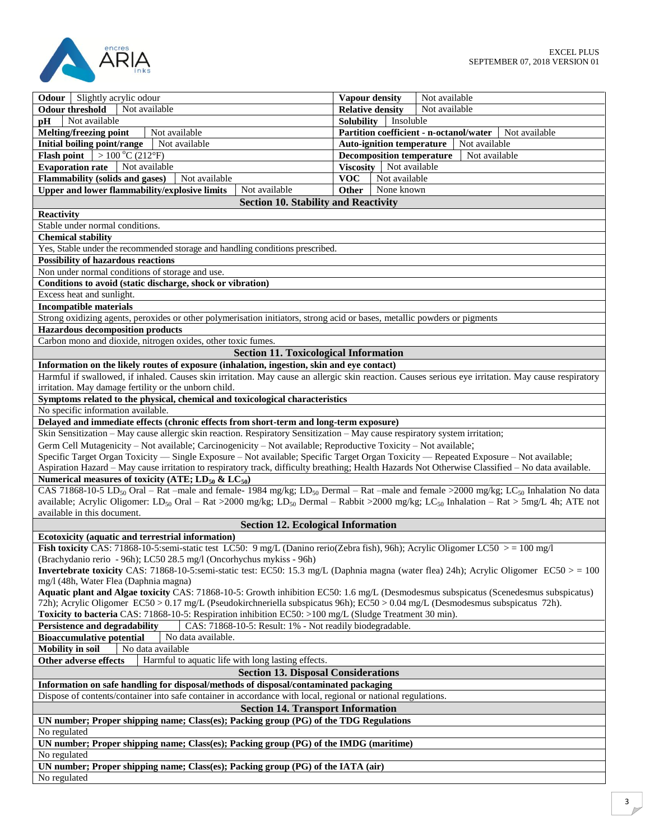

| Slightly acrylic odour<br>Odour                                                                                                                                                                                | Not available<br><b>Vapour density</b>                   |  |
|----------------------------------------------------------------------------------------------------------------------------------------------------------------------------------------------------------------|----------------------------------------------------------|--|
| Not available<br><b>Odour threshold</b>                                                                                                                                                                        | <b>Relative density</b><br>Not available                 |  |
| Not available<br>pH                                                                                                                                                                                            | Insoluble<br><b>Solubility</b>                           |  |
| <b>Melting/freezing point</b><br>Not available                                                                                                                                                                 | Partition coefficient - n-octanol/water<br>Not available |  |
| <b>Initial boiling point/range</b><br>Not available                                                                                                                                                            | <b>Auto-ignition temperature</b><br>Not available        |  |
| <b>Flash point</b> $> 100 \degree C (212 \degree F)$                                                                                                                                                           | <b>Decomposition temperature</b><br>Not available        |  |
| <b>Evaporation rate</b><br>Not available                                                                                                                                                                       | <b>Viscosity</b><br>Not available                        |  |
| <b>Flammability (solids and gases)</b><br>Not available                                                                                                                                                        | <b>VOC</b><br>Not available                              |  |
| Not available                                                                                                                                                                                                  | None known                                               |  |
| Upper and lower flammability/explosive limits                                                                                                                                                                  | Other                                                    |  |
| <b>Section 10. Stability and Reactivity</b>                                                                                                                                                                    |                                                          |  |
| <b>Reactivity</b>                                                                                                                                                                                              |                                                          |  |
| Stable under normal conditions.                                                                                                                                                                                |                                                          |  |
| <b>Chemical stability</b>                                                                                                                                                                                      |                                                          |  |
| Yes, Stable under the recommended storage and handling conditions prescribed.                                                                                                                                  |                                                          |  |
| <b>Possibility of hazardous reactions</b>                                                                                                                                                                      |                                                          |  |
| Non under normal conditions of storage and use.                                                                                                                                                                |                                                          |  |
|                                                                                                                                                                                                                |                                                          |  |
| Conditions to avoid (static discharge, shock or vibration)                                                                                                                                                     |                                                          |  |
| Excess heat and sunlight.                                                                                                                                                                                      |                                                          |  |
| <b>Incompatible materials</b>                                                                                                                                                                                  |                                                          |  |
| Strong oxidizing agents, peroxides or other polymerisation initiators, strong acid or bases, metallic powders or pigments                                                                                      |                                                          |  |
| <b>Hazardous decomposition products</b>                                                                                                                                                                        |                                                          |  |
| Carbon mono and dioxide, nitrogen oxides, other toxic fumes.                                                                                                                                                   |                                                          |  |
| <b>Section 11. Toxicological Information</b>                                                                                                                                                                   |                                                          |  |
|                                                                                                                                                                                                                |                                                          |  |
| Information on the likely routes of exposure (inhalation, ingestion, skin and eye contact)                                                                                                                     |                                                          |  |
| Harmful if swallowed, if inhaled. Causes skin irritation. May cause an allergic skin reaction. Causes serious eye irritation. May cause respiratory                                                            |                                                          |  |
| irritation. May damage fertility or the unborn child.                                                                                                                                                          |                                                          |  |
| Symptoms related to the physical, chemical and toxicological characteristics                                                                                                                                   |                                                          |  |
| No specific information available.                                                                                                                                                                             |                                                          |  |
| Delayed and immediate effects (chronic effects from short-term and long-term exposure)                                                                                                                         |                                                          |  |
| Skin Sensitization - May cause allergic skin reaction. Respiratory Sensitization - May cause respiratory system irritation;                                                                                    |                                                          |  |
| Germ Cell Mutagenicity – Not available; Carcinogenicity – Not available; Reproductive Toxicity – Not available;                                                                                                |                                                          |  |
| Specific Target Organ Toxicity — Single Exposure - Not available; Specific Target Organ Toxicity — Repeated Exposure - Not available;                                                                          |                                                          |  |
|                                                                                                                                                                                                                |                                                          |  |
| Aspiration Hazard - May cause irritation to respiratory track, difficulty breathing; Health Hazards Not Otherwise Classified - No data available.                                                              |                                                          |  |
| Numerical measures of toxicity (ATE; $LD_{50}$ & $LC_{50}$ )                                                                                                                                                   |                                                          |  |
| CAS 71868-10-5 LD <sub>50</sub> Oral – Rat –male and female- $\frac{1984 \text{ mg/kg}}{1984 \text{ mg/kg}}$ , LD <sub>50</sub> Dermal – Rat –male and female >2000 mg/kg; LC <sub>50</sub> Inhalation No data |                                                          |  |
| available; Acrylic Oligomer: LD <sub>50</sub> Oral – Rat >2000 mg/kg; LD <sub>50</sub> Dermal – Rabbit >2000 mg/kg; LC <sub>50</sub> Inhalation – Rat > 5mg/L 4h; ATE not                                      |                                                          |  |
| available in this document.                                                                                                                                                                                    |                                                          |  |
| <b>Section 12. Ecological Information</b>                                                                                                                                                                      |                                                          |  |
| <b>Ecotoxicity (aquatic and terrestrial information)</b>                                                                                                                                                       |                                                          |  |
| Fish toxicity CAS: 71868-10-5:semi-static test LC50: 9 mg/L (Danino rerio(Zebra fish), 96h); Acrylic Oligomer LC50 > = 100 mg/l                                                                                |                                                          |  |
| (Brachydanio rerio - 96h); LC50 28.5 mg/l (Oncorhychus mykiss - 96h)                                                                                                                                           |                                                          |  |
| <b>Invertebrate toxicity</b> CAS: 71868-10-5:semi-static test: EC50: 15.3 mg/L (Daphnia magna (water flea) 24h); Acrylic Oligomer EC50 > = 100                                                                 |                                                          |  |
|                                                                                                                                                                                                                |                                                          |  |
| mg/l (48h, Water Flea (Daphnia magna)                                                                                                                                                                          |                                                          |  |
| Aquatic plant and Algae toxicity CAS: 71868-10-5: Growth inhibition EC50: 1.6 mg/L (Desmodesmus subspicatus (Scenedesmus subspicatus)                                                                          |                                                          |  |
| 72h); Acrylic Oligomer EC50 > 0.17 mg/L (Pseudokirchneriella subspicatus 96h); EC50 > 0.04 mg/L (Desmodesmus subspicatus 72h).                                                                                 |                                                          |  |
| Toxicity to bacteria CAS: 71868-10-5: Respiration inhibition EC50: >100 mg/L (Sludge Treatment 30 min).                                                                                                        |                                                          |  |
| CAS: 71868-10-5: Result: 1% - Not readily biodegradable.<br>Persistence and degradability                                                                                                                      |                                                          |  |
| <b>Bioaccumulative potential</b><br>No data available.                                                                                                                                                         |                                                          |  |
| No data available<br><b>Mobility</b> in soil                                                                                                                                                                   |                                                          |  |
| Harmful to aquatic life with long lasting effects.<br>Other adverse effects                                                                                                                                    |                                                          |  |
|                                                                                                                                                                                                                |                                                          |  |
| <b>Section 13. Disposal Considerations</b>                                                                                                                                                                     |                                                          |  |
| Information on safe handling for disposal/methods of disposal/contaminated packaging                                                                                                                           |                                                          |  |
| Dispose of contents/container into safe container in accordance with local, regional or national regulations.                                                                                                  |                                                          |  |
| <b>Section 14. Transport Information</b>                                                                                                                                                                       |                                                          |  |
| UN number; Proper shipping name; Class(es); Packing group (PG) of the TDG Regulations                                                                                                                          |                                                          |  |
| No regulated                                                                                                                                                                                                   |                                                          |  |
| UN number; Proper shipping name; Class(es); Packing group (PG) of the IMDG (maritime)                                                                                                                          |                                                          |  |
| No regulated                                                                                                                                                                                                   |                                                          |  |
| UN number; Proper shipping name; Class(es); Packing group (PG) of the IATA (air)                                                                                                                               |                                                          |  |
|                                                                                                                                                                                                                |                                                          |  |
| No regulated                                                                                                                                                                                                   |                                                          |  |